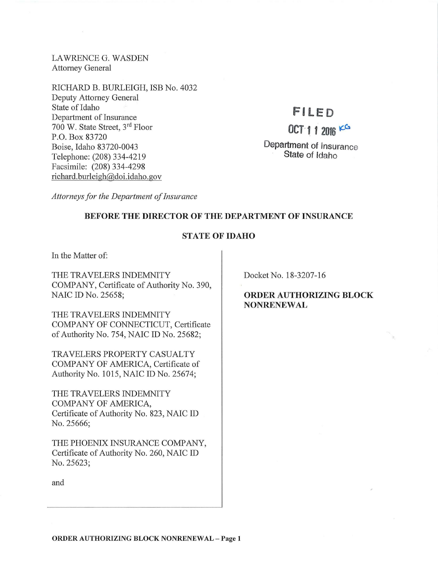LAWRENCE G. WASDEN Attorney General

RICHARD B. BURLEIGH, ISB No. 4032 Deputy Attorney General State of Idaho Department of Insurance 700 W. State Street, 3rd Floor P.O. Box 83720 Boise, Idaho 83720-0043 Telephone: (208) 334-4219 Facsimile: (208) 334-4298 richard. burleigh@doi.idaho.gov

# **FILED**

## $OCT 11 2016 100$

Department of Insurance State of Idaho

*Attorneys for the Department of Insurance* 

## BEFORE THE DIRECTOR OF THE DEPARTMENT OF INSURANCE

## STATE OF IDAHO

In the Matter of:

THE TRAVELERS INDEMNITY COMPANY, Certificate of Authority No. 390, NAIC ID No. 25658;

THE TRAVELERS INDEMNITY COMPANY OF CONNECTICUT, Certificate of Authority No. 754, NAIC ID No. 25682;

TRAVELERS PROPERTY CASUALTY COMPANY OF AMERICA, Certificate of Authority No. 1015, NAIC ID No. 25674;

THE TRAVELERS INDEMNITY COMPANY OF AMERICA, Certificate of Authority No. 823, NAIC ID No. 25666;

THE PHOENIX INSURANCE COMPANY, Certificate of Authority No. 260, NAIC ID No. 25623;

Docket No. 18-3207-16

ORDER AUTHORIZING BLOCK NONRENEWAL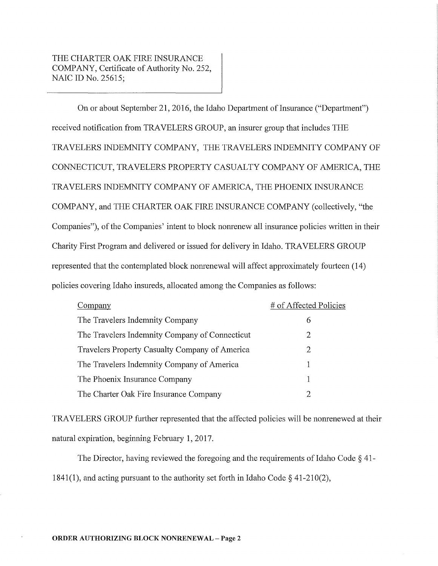On or about September 21, 2016, the Idaho Department of Insurance ("Department") received notification from TRAVELERS GROUP, an insurer group that includes THE TRAVELERS INDEMNITY COMPANY, THE TRAVELERS INDEMNITY COMPANY OF CONNECTICUT, TRAVELERS PROPERTY CASUALTY COMPANY OF AMERICA, THE TRAVELERS INDEMNITY COMPANY OF AMERICA, THE PHOENIX INSURANCE COMPANY, and THE CHARTER OAK FIRE INSURANCE COMPANY (collectively, "the Companies"), of the Companies' intent to block nomenew all insurance policies written in their Charity First Program and delivered or issued for delivery in Idaho. TRAVELERS GROUP represented that the contemplated block nomenewal will affect approximately fourteen (14) policies covering Idaho insureds, allocated among the Companies as follows:

| Company                                        | # of Affected Policies |
|------------------------------------------------|------------------------|
| The Travelers Indemnity Company                | 6                      |
| The Travelers Indemnity Company of Connecticut | 2                      |
| Travelers Property Casualty Company of America | 2                      |
| The Travelers Indemnity Company of America     |                        |
| The Phoenix Insurance Company                  | 1                      |
| The Charter Oak Fire Insurance Company         |                        |

TRAVELERS GROUP further represented that the affected policies will be nomenewed at their natural expiration, beginning February 1, 2017.

The Director, having reviewed the foregoing and the requirements of Idaho Code  $\S$  41-1841(1), and acting pursuant to the authority set forth in Idaho Code  $\S$  41-210(2),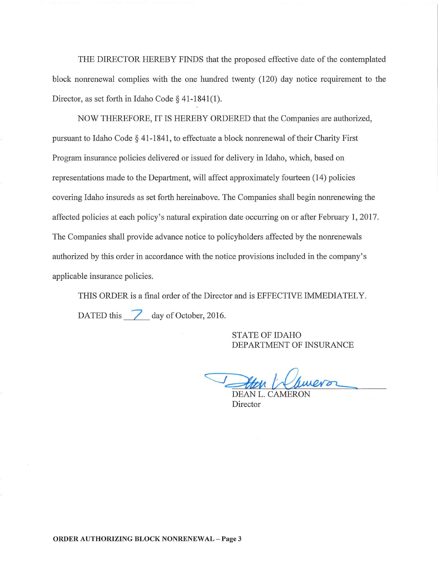THE DIRECTOR HEREBY FINDS that the proposed effective date of the contemplated block nonrenewal complies with the one hundred twenty (120) day notice requirement to the Director, as set forth in Idaho Code§ 41-1841(1).

NOW THEREFORE, IT IS HEREBY ORDERED that the Companies are authorized, pursuant to Idaho Code  $\S$  41-1841, to effectuate a block nonrenewal of their Charity First Program insurance policies delivered or issued for delivery in Idaho, which, based on representations made to the Department, will affect approximately fourteen (14) policies covering Idaho insureds as set forth hereinabove. The Companies shall begin nonrenewing the affected policies at each policy's natural expiration date occurring on or after February 1, 2017. The Companies shall provide advance notice to policyholders affected by the nonrenewals authorized by this order in accordance with the notice provisions included in the company's applicable insurance policies.

THIS ORDER is a final order of the Director and is EFFECTIVE IMMEDIATELY. DATED this  $\overline{7}$  day of October, 2016.

> STATE OF IDAHO DEPARTMENT OF INSURANCE

OF THE CONTROL OF THE CONTROL<br>DEAN L. CAMERON

Director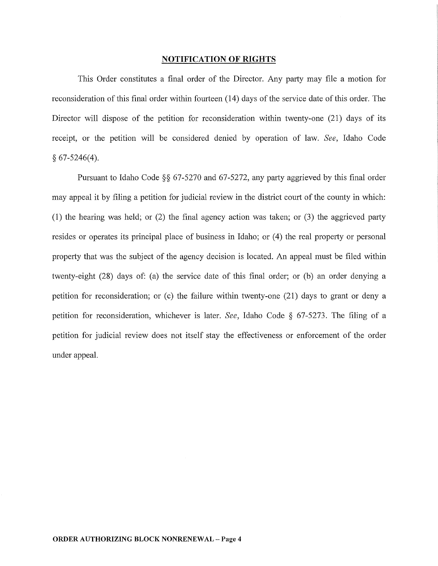### **NOTIFICATION OF RIGHTS**

This Order constitutes a final order of the Director. Any party may file a motion for reconsideration of this final order within fomieen (14) days of the service date of this order. The Director will dispose of the petition for reconsideration within twenty-one (21) days of its receipt, or the petition will be considered denied by operation of law. *See,* Idaho Code  $§ 67-5246(4).$ 

Pursuant to Idaho Code §§ 67-5270 and 67-5272, any party aggrieved by this final order may appeal it by filing a petition for judicial review in the district court of the county in which: (1) the hearing was held; or (2) the final agency action was taken; or (3) the aggrieved party resides or operates its principal place of business in Idaho; or  $(4)$  the real property or personal property that was the subject of the agency decision is located. An appeal must be filed within twenty-eight (28) days of: (a) the service date of this final order; or (b) an order denying a petition for reconsideration; or (c) the failure within twenty-one (21) days to grant or deny a petition for reconsideration, whichever is later. *See,* Idaho Code § 67-5273. The filing of a petition for judicial review does not itself stay the effectiveness or enforcement of the order under appeal.